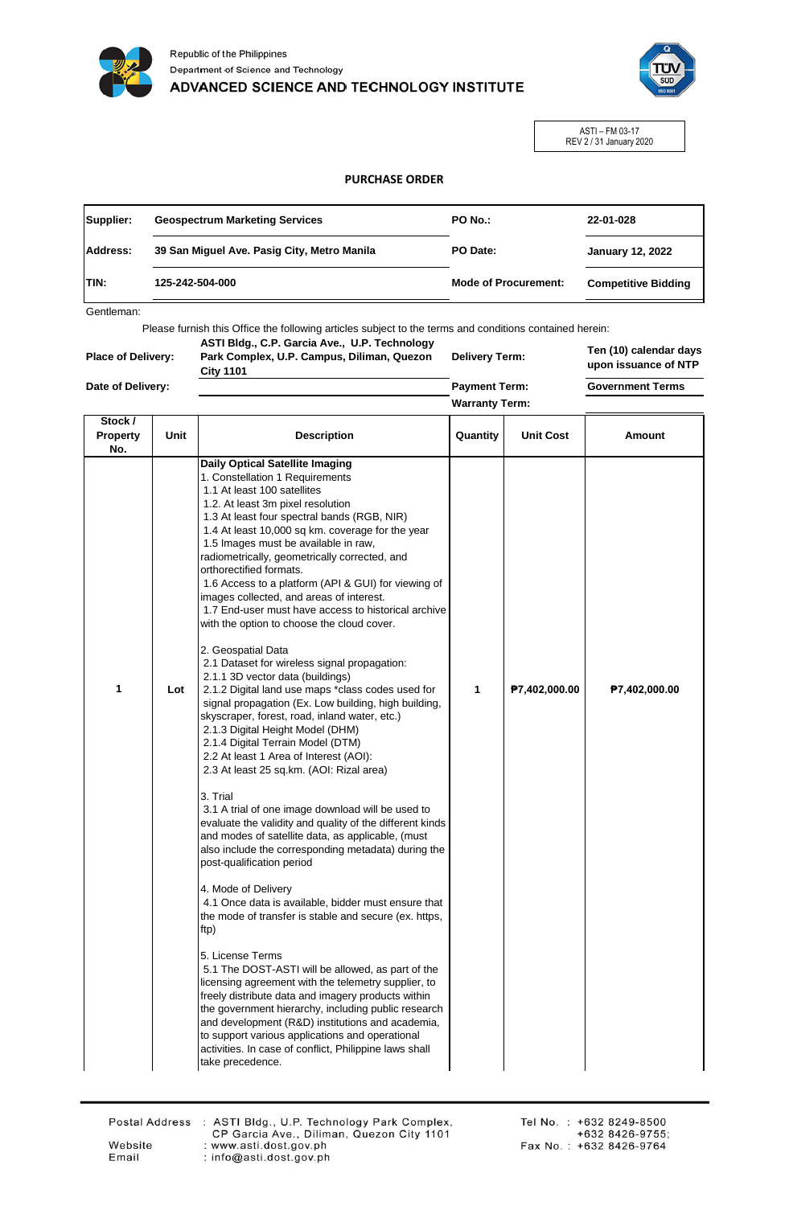



ASTI – FM 03-17 REV 2 / 31 January 2020

## **PURCHASE ORDER**

| 39 San Miguel Ave. Pasig City, Metro Manila<br>PO Date:<br><b>January 12, 2022</b><br>125-242-504-000<br><b>Mode of Procurement:</b><br><b>Competitive Bidding</b> | Supplier:       | <b>Geospectrum Marketing Services</b> | PO No.: | 22-01-028 |
|--------------------------------------------------------------------------------------------------------------------------------------------------------------------|-----------------|---------------------------------------|---------|-----------|
|                                                                                                                                                                    | <b>Address:</b> |                                       |         |           |
|                                                                                                                                                                    | <b>ITIN:</b>    |                                       |         |           |

Gentleman:

Please furnish this Office the following articles subject to the terms and conditions contained herein:

**Place of Delivery: Date of Delivery: ASTI Bldg., C.P. Garcia Ave., U.P. Technology Park Complex, U.P. Campus, Diliman, Quezon City 1101**

**Delivery Term: Payment Term:**

**Warranty Term:**

**Ten (10) calendar days upon issuance of NTP**

**Government Terms**

| Stock /<br><b>Property</b> | Unit | <b>Description</b>                                                                                                                                                                                                                                                                                                                                                                                                                                                                                                                                                           | Quantity | <b>Unit Cost</b> | Amount        |
|----------------------------|------|------------------------------------------------------------------------------------------------------------------------------------------------------------------------------------------------------------------------------------------------------------------------------------------------------------------------------------------------------------------------------------------------------------------------------------------------------------------------------------------------------------------------------------------------------------------------------|----------|------------------|---------------|
| No.                        |      |                                                                                                                                                                                                                                                                                                                                                                                                                                                                                                                                                                              |          |                  |               |
|                            |      | <b>Daily Optical Satellite Imaging</b><br>1. Constellation 1 Requirements<br>1.1 At least 100 satellites<br>1.2. At least 3m pixel resolution<br>1.3 At least four spectral bands (RGB, NIR)<br>1.4 At least 10,000 sq km. coverage for the year<br>1.5 Images must be available in raw,<br>radiometrically, geometrically corrected, and<br>orthorectified formats.<br>1.6 Access to a platform (API & GUI) for viewing of<br>images collected, and areas of interest.<br>1.7 End-user must have access to historical archive<br>with the option to choose the cloud cover. |          |                  |               |
| 1                          | Lot  | 2. Geospatial Data<br>2.1 Dataset for wireless signal propagation:<br>2.1.1 3D vector data (buildings)<br>2.1.2 Digital land use maps *class codes used for<br>signal propagation (Ex. Low building, high building,<br>skyscraper, forest, road, inland water, etc.)<br>2.1.3 Digital Height Model (DHM)<br>2.1.4 Digital Terrain Model (DTM)<br>2.2 At least 1 Area of Interest (AOI):<br>2.3 At least 25 sq.km. (AOI: Rizal area)                                                                                                                                          | 1        | P7,402,000.00    | P7,402,000.00 |
|                            |      | 3. Trial<br>3.1 A trial of one image download will be used to<br>evaluate the validity and quality of the different kinds<br>and modes of satellite data, as applicable, (must<br>also include the corresponding metadata) during the<br>post-qualification period                                                                                                                                                                                                                                                                                                           |          |                  |               |
|                            |      | 4. Mode of Delivery<br>4.1 Once data is available, bidder must ensure that<br>the mode of transfer is stable and secure (ex. https,<br>ftp)                                                                                                                                                                                                                                                                                                                                                                                                                                  |          |                  |               |
|                            |      | 5. License Terms<br>5.1 The DOST-ASTI will be allowed, as part of the<br>licensing agreement with the telemetry supplier, to<br>freely distribute data and imagery products within<br>the government hierarchy, including public research<br>and development (R&D) institutions and academia,<br>to support various applications and operational<br>activities. In case of conflict, Philippine laws shall<br>take precedence.                                                                                                                                               |          |                  |               |

Website Email